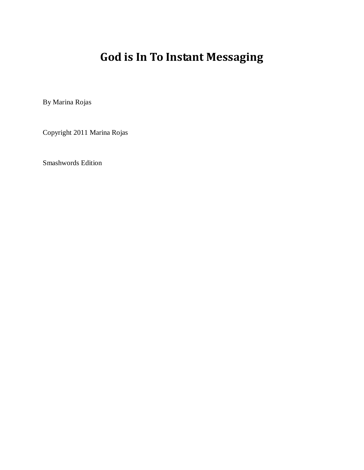## **God is In To Instant Messaging**

By Marina Rojas

Copyright 2011 Marina Rojas

Smashwords Edition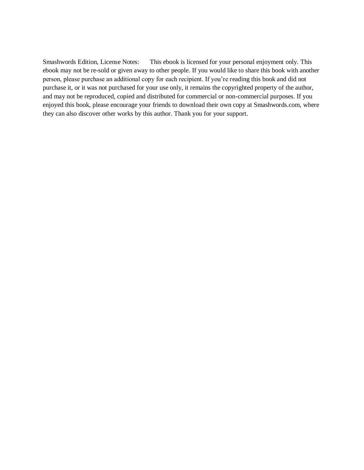Smashwords Edition, License Notes: This ebook is licensed for your personal enjoyment only. This ebook may not be re-sold or given away to other people. If you would like to share this book with another person, please purchase an additional copy for each recipient. If you're reading this book and did not purchase it, or it was not purchased for your use only, it remains the copyrighted property of the author, and may not be reproduced, copied and distributed for commercial or non-commercial purposes. If you enjoyed this book, please encourage your friends to download their own copy at Smashwords.com, where they can also discover other works by this author. Thank you for your support.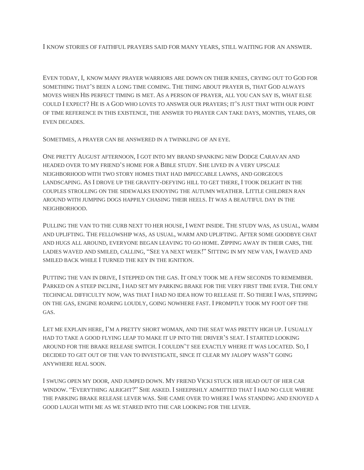I KNOW STORIES OF FAITHFUL PRAYERS SAID FOR MANY YEARS, STILL WAITING FOR AN ANSWER.

EVEN TODAY, I, KNOW MANY PRAYER WARRIORS ARE DOWN ON THEIR KNEES, CRYING OUT TO GOD FOR SOMETHING THAT'S BEEN A LONG TIME COMING. THE THING ABOUT PRAYER IS, THAT GOD ALWAYS MOVES WHEN HIS PERFECT TIMING IS MET. AS A PERSON OF PRAYER, ALL YOU CAN SAY IS, WHAT ELSE COULD I EXPECT? HE IS A GOD WHO LOVES TO ANSWER OUR PRAYERS; IT'S JUST THAT WITH OUR POINT OF TIME REFERENCE IN THIS EXISTENCE, THE ANSWER TO PRAYER CAN TAKE DAYS, MONTHS, YEARS, OR EVEN DECADES.

SOMETIMES, A PRAYER CAN BE ANSWERED IN A TWINKLING OF AN EYE.

ONE PRETTY AUGUST AFTERNOON, I GOT INTO MY BRAND SPANKING NEW DODGE CARAVAN AND HEADED OVER TO MY FRIEND'S HOME FOR A BIBLE STUDY. SHE LIVED IN A VERY UPSCALE NEIGHBORHOOD WITH TWO STORY HOMES THAT HAD IMPECCABLE LAWNS, AND GORGEOUS LANDSCAPING. AS I DROVE UP THE GRAVITY-DEFYING HILL TO GET THERE, I TOOK DELIGHT IN THE COUPLES STROLLING ON THE SIDEWALKS ENJOYING THE AUTUMN WEATHER. LITTLE CHILDREN RAN AROUND WITH JUMPING DOGS HAPPILY CHASING THEIR HEELS. IT WAS A BEAUTIFUL DAY IN THE NEIGHBORHOOD.

PULLING THE VAN TO THE CURB NEXT TO HER HOUSE, I WENT INSIDE. THE STUDY WAS, AS USUAL, WARM AND UPLIFTING. THE FELLOWSHIP WAS, AS USUAL, WARM AND UPLIFTING. AFTER SOME GOODBYE CHAT AND HUGS ALL AROUND, EVERYONE BEGAN LEAVING TO GO HOME. ZIPPING AWAY IN THEIR CARS, THE LADIES WAVED AND SMILED, CALLING, "SEE YA NEXT WEEK!" SITTING IN MY NEW VAN, I WAVED AND SMILED BACK WHILE I TURNED THE KEY IN THE IGNITION.

PUTTING THE VAN IN DRIVE, I STEPPED ON THE GAS. IT ONLY TOOK ME A FEW SECONDS TO REMEMBER. PARKED ON A STEEP INCLINE, I HAD SET MY PARKING BRAKE FOR THE VERY FIRST TIME EVER. THE ONLY TECHNICAL DIFFICULTY NOW, WAS THAT I HAD NO IDEA HOW TO RELEASE IT. SO THERE I WAS, STEPPING ON THE GAS, ENGINE ROARING LOUDLY, GOING NOWHERE FAST. I PROMPTLY TOOK MY FOOT OFF THE GAS.

LET ME EXPLAIN HERE, I'M A PRETTY SHORT WOMAN, AND THE SEAT WAS PRETTY HIGH UP. I USUALLY HAD TO TAKE A GOOD FLYING LEAP TO MAKE IT UP INTO THE DRIVER'S SEAT. I STARTED LOOKING AROUND FOR THE BRAKE RELEASE SWITCH. I COULDN'T SEE EXACTLY WHERE IT WAS LOCATED. SO, I DECIDED TO GET OUT OF THE VAN TO INVESTIGATE, SINCE IT CLEAR MY JALOPY WASN'T GOING ANYWHERE REAL SOON.

I SWUNG OPEN MY DOOR, AND JUMPED DOWN. MY FRIEND VICKI STUCK HER HEAD OUT OF HER CAR WINDOW. "EVERYTHING ALRIGHT?" SHE ASKED. I SHEEPISHLY ADMITTED THAT I HAD NO CLUE WHERE THE PARKING BRAKE RELEASE LEVER WAS. SHE CAME OVER TO WHERE I WAS STANDING AND ENJOYED A GOOD LAUGH WITH ME AS WE STARED INTO THE CAR LOOKING FOR THE LEVER.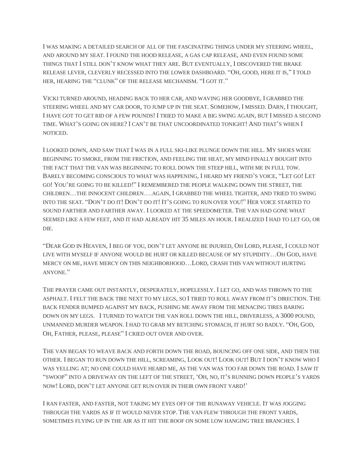I WAS MAKING A DETAILED SEARCH OF ALL OF THE FASCINATING THINGS UNDER MY STEERING WHEEL, AND AROUND MY SEAT. I FOUND THE HOOD RELEASE, A GAS CAP RELEASE, AND EVEN FOUND SOME THINGS THAT I STILL DON'T KNOW WHAT THEY ARE. BUT EVENTUALLY, I DISCOVERED THE BRAKE RELEASE LEVER, CLEVERLY RECESSED INTO THE LOWER DASHBOARD. "OH, GOOD, HERE IT IS," I TOLD HER, HEARING THE "CLUNK" OF THE RELEASE MECHANISM. "I GOT IT."

VICKI TURNED AROUND, HEADING BACK TO HER CAR, AND WAVING HER GOODBYE, I GRABBED THE STEERING WHEEL AND MY CAR DOOR, TO JUMP UP IN THE SEAT. SOMEHOW, I MISSED. DARN, I THOUGHT, I HAVE GOT TO GET RID OF A FEW POUNDS! I TRIED TO MAKE A BIG SWING AGAIN, BUT I MISSED A SECOND TIME. WHAT'S GOING ON HERE? I CAN'T BE THAT UNCOORDINATED TONIGHT! AND THAT'S WHEN I NOTICED.

I LOOKED DOWN, AND SAW THAT I WAS IN A FULL SKI-LIKE PLUNGE DOWN THE HILL. MY SHOES WERE BEGINNING TO SMOKE, FROM THE FRICTION, AND FEELING THE HEAT, MY MIND FINALLY BOUGHT INTO THE FACT THAT THE VAN WAS BEGINNING TO ROLL DOWN THE STEEP HILL, WITH ME IN FULL TOW. BARELY BECOMING CONSCIOUS TO WHAT WAS HAPPENING, I HEARD MY FRIEND'S VOICE, "LET GO! LET GO! YOU'RE GOING TO BE KILLED!" I REMEMBERED THE PEOPLE WALKING DOWN THE STREET, THE CHILDREN…THE INNOCENT CHILDREN….AGAIN, I GRABBED THE WHEEL TIGHTER, AND TRIED TO SWING INTO THE SEAT. "DON'T DO IT! DON'T DO IT! IT'S GOING TO RUN OVER YOU!" HER VOICE STARTED TO SOUND FARTHER AND FARTHER AWAY. I LOOKED AT THE SPEEDOMETER. THE VAN HAD GONE WHAT SEEMED LIKE A FEW FEET, AND IT HAD ALREADY HIT 35 MILES AN HOUR. I REALIZED I HAD TO LET GO, OR DIE.

"DEAR GOD IN HEAVEN, I BEG OF YOU, DON'T LET ANYONE BE INJURED, OH LORD, PLEASE, I COULD NOT LIVE WITH MYSELF IF ANYONE WOULD BE HURT OR KILLED BECAUSE OF MY STUPIDITY…OH GOD, HAVE MERCY ON ME, HAVE MERCY ON THIS NEIGHBORHOOD…LORD, CRASH THIS VAN WITHOUT HURTING ANYONE."

THE PRAYER CAME OUT INSTANTLY, DESPERATELY, HOPELESSLY. I LET GO, AND WAS THROWN TO THE ASPHALT. I FELT THE BACK TIRE NEXT TO MY LEGS, SO I TRIED TO ROLL AWAY FROM IT'S DIRECTION. THE BACK FENDER BUMPED AGAINST MY BACK, PUSHING ME AWAY FROM THE MENACING TIRES BARING DOWN ON MY LEGS. I TURNED TO WATCH THE VAN ROLL DOWN THE HILL, DRIVERLESS, A 3000 POUND, UNMANNED MURDER WEAPON. I HAD TO GRAB MY RETCHING STOMACH, IT HURT SO BADLY. "OH, GOD, OH, FATHER, PLEASE, PLEASE" I CRIED OUT OVER AND OVER.

THE VAN BEGAN TO WEAVE BACK AND FORTH DOWN THE ROAD, BOUNCING OFF ONE SIDE, AND THEN THE OTHER. I BEGAN TO RUN DOWN THE HILL, SCREAMING, LOOK OUT! LOOK OUT! BUT I DON'T KNOW WHO I WAS YELLING AT; NO ONE COULD HAVE HEARD ME, AS THE VAN WAS TOO FAR DOWN THE ROAD. I SAW IT "SWOOP" INTO A DRIVEWAY ON THE LEFT OF THE STREET, 'OH, NO, IT'S RUNNING DOWN PEOPLE'S YARDS NOW! LORD, DON'T LET ANYONE GET RUN OVER IN THEIR OWN FRONT YARD!'

I RAN FASTER, AND FASTER, NOT TAKING MY EYES OFF OF THE RUNAWAY VEHICLE. IT WAS JOGGING THROUGH THE YARDS AS IF IT WOULD NEVER STOP. THE VAN FLEW THROUGH THE FRONT YARDS, SOMETIMES FLYING UP IN THE AIR AS IT HIT THE ROOF ON SOME LOW HANGING TREE BRANCHES. I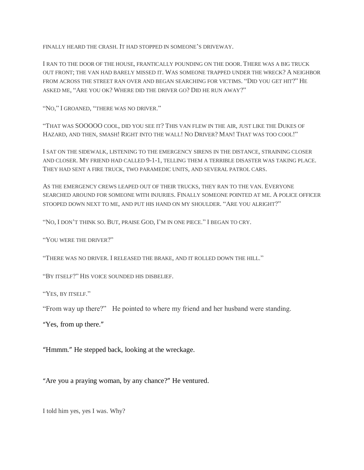FINALLY HEARD THE CRASH. IT HAD STOPPED IN SOMEONE'S DRIVEWAY.

I RAN TO THE DOOR OF THE HOUSE, FRANTICALLY POUNDING ON THE DOOR. THERE WAS A BIG TRUCK OUT FRONT; THE VAN HAD BARELY MISSED IT. WAS SOMEONE TRAPPED UNDER THE WRECK? A NEIGHBOR FROM ACROSS THE STREET RAN OVER AND BEGAN SEARCHING FOR VICTIMS. "DID YOU GET HIT?" HE ASKED ME, "ARE YOU OK? WHERE DID THE DRIVER GO? DID HE RUN AWAY?"

"NO," I GROANED, "THERE WAS NO DRIVER."

"THAT WAS SOOOOO COOL, DID YOU SEE IT? THIS VAN FLEW IN THE AIR, JUST LIKE THE DUKES OF HAZARD, AND THEN, SMASH! RIGHT INTO THE WALL! NO DRIVER? MAN! THAT WAS TOO COOL!"

I SAT ON THE SIDEWALK, LISTENING TO THE EMERGENCY SIRENS IN THE DISTANCE, STRAINING CLOSER AND CLOSER. MY FRIEND HAD CALLED 9-1-1, TELLING THEM A TERRIBLE DISASTER WAS TAKING PLACE. THEY HAD SENT A FIRE TRUCK, TWO PARAMEDIC UNITS, AND SEVERAL PATROL CARS.

AS THE EMERGENCY CREWS LEAPED OUT OF THEIR TRUCKS, THEY RAN TO THE VAN. EVERYONE SEARCHED AROUND FOR SOMEONE WITH INJURIES. FINALLY SOMEONE POINTED AT ME. A POLICE OFFICER STOOPED DOWN NEXT TO ME, AND PUT HIS HAND ON MY SHOULDER. "ARE YOU ALRIGHT?"

"NO, I DON'T THINK SO. BUT, PRAISE GOD, I'M IN ONE PIECE." I BEGAN TO CRY.

"YOU WERE THE DRIVER?"

"THERE WAS NO DRIVER. I RELEASED THE BRAKE, AND IT ROLLED DOWN THE HILL."

"BY ITSELF?" HIS VOICE SOUNDED HIS DISBELIEF.

"YES, BY ITSELF."

"From way up there?" He pointed to where my friend and her husband were standing.

"Yes, from up there."

"Hmmm." He stepped back, looking at the wreckage.

"Are you a praying woman, by any chance?" He ventured.

I told him yes, yes I was. Why?